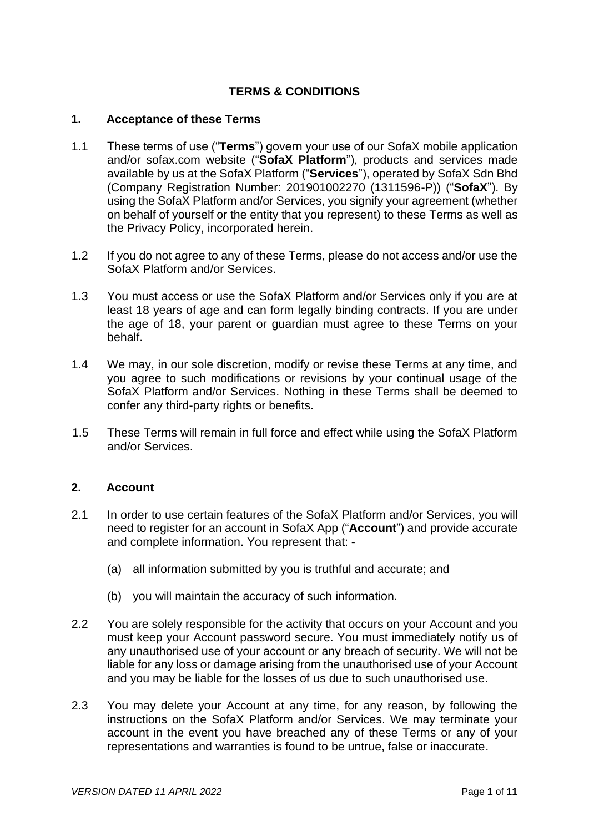# **TERMS & CONDITIONS**

#### **1. Acceptance of these Terms**

- 1.1 These terms of use ("**Terms**") govern your use of our SofaX mobile application and/or sofax.com website ("**SofaX Platform**"), products and services made available by us at the SofaX Platform ("**Services**"), operated by SofaX Sdn Bhd (Company Registration Number: 201901002270 (1311596-P)) ("**SofaX**"). By using the SofaX Platform and/or Services, you signify your agreement (whether on behalf of yourself or the entity that you represent) to these Terms as well as the Privacy Policy, incorporated herein.
- 1.2 If you do not agree to any of these Terms, please do not access and/or use the SofaX Platform and/or Services.
- 1.3 You must access or use the SofaX Platform and/or Services only if you are at least 18 years of age and can form legally binding contracts. If you are under the age of 18, your parent or guardian must agree to these Terms on your behalf.
- 1.4 We may, in our sole discretion, modify or revise these Terms at any time, and you agree to such modifications or revisions by your continual usage of the SofaX Platform and/or Services. Nothing in these Terms shall be deemed to confer any third-party rights or benefits.
- 1.5 These Terms will remain in full force and effect while using the SofaX Platform and/or Services.

#### **2. Account**

- 2.1 In order to use certain features of the SofaX Platform and/or Services, you will need to register for an account in SofaX App ("**Account**") and provide accurate and complete information. You represent that: -
	- (a) all information submitted by you is truthful and accurate; and
	- (b) you will maintain the accuracy of such information.
- 2.2 You are solely responsible for the activity that occurs on your Account and you must keep your Account password secure. You must immediately notify us of any unauthorised use of your account or any breach of security. We will not be liable for any loss or damage arising from the unauthorised use of your Account and you may be liable for the losses of us due to such unauthorised use.
- 2.3 You may delete your Account at any time, for any reason, by following the instructions on the SofaX Platform and/or Services. We may terminate your account in the event you have breached any of these Terms or any of your representations and warranties is found to be untrue, false or inaccurate.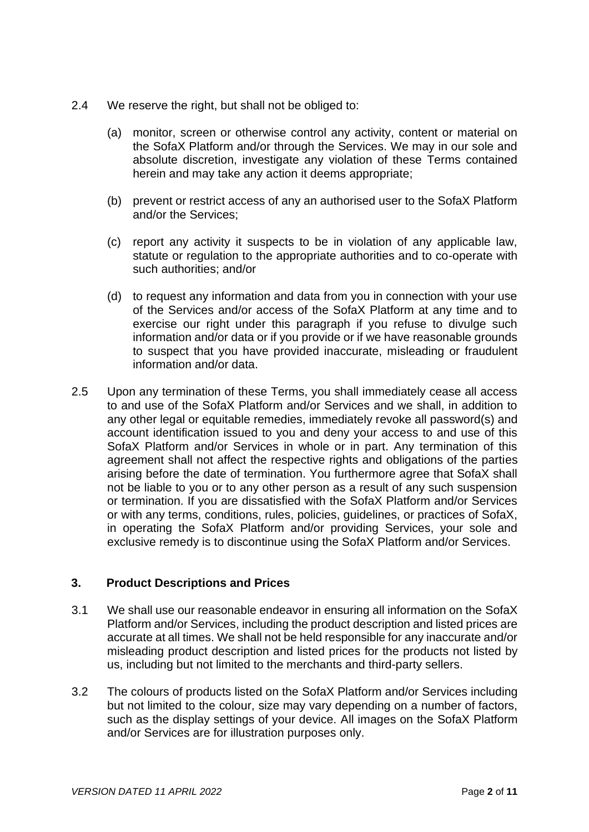- 2.4 We reserve the right, but shall not be obliged to:
	- (a) monitor, screen or otherwise control any activity, content or material on the SofaX Platform and/or through the Services. We may in our sole and absolute discretion, investigate any violation of these Terms contained herein and may take any action it deems appropriate;
	- (b) prevent or restrict access of any an authorised user to the SofaX Platform and/or the Services;
	- (c) report any activity it suspects to be in violation of any applicable law, statute or regulation to the appropriate authorities and to co-operate with such authorities; and/or
	- (d) to request any information and data from you in connection with your use of the Services and/or access of the SofaX Platform at any time and to exercise our right under this paragraph if you refuse to divulge such information and/or data or if you provide or if we have reasonable grounds to suspect that you have provided inaccurate, misleading or fraudulent information and/or data.
- 2.5 Upon any termination of these Terms, you shall immediately cease all access to and use of the SofaX Platform and/or Services and we shall, in addition to any other legal or equitable remedies, immediately revoke all password(s) and account identification issued to you and deny your access to and use of this SofaX Platform and/or Services in whole or in part. Any termination of this agreement shall not affect the respective rights and obligations of the parties arising before the date of termination. You furthermore agree that SofaX shall not be liable to you or to any other person as a result of any such suspension or termination. If you are dissatisfied with the SofaX Platform and/or Services or with any terms, conditions, rules, policies, guidelines, or practices of SofaX, in operating the SofaX Platform and/or providing Services, your sole and exclusive remedy is to discontinue using the SofaX Platform and/or Services.

## **3. Product Descriptions and Prices**

- 3.1 We shall use our reasonable endeavor in ensuring all information on the SofaX Platform and/or Services, including the product description and listed prices are accurate at all times. We shall not be held responsible for any inaccurate and/or misleading product description and listed prices for the products not listed by us, including but not limited to the merchants and third-party sellers.
- 3.2 The colours of products listed on the SofaX Platform and/or Services including but not limited to the colour, size may vary depending on a number of factors, such as the display settings of your device. All images on the SofaX Platform and/or Services are for illustration purposes only.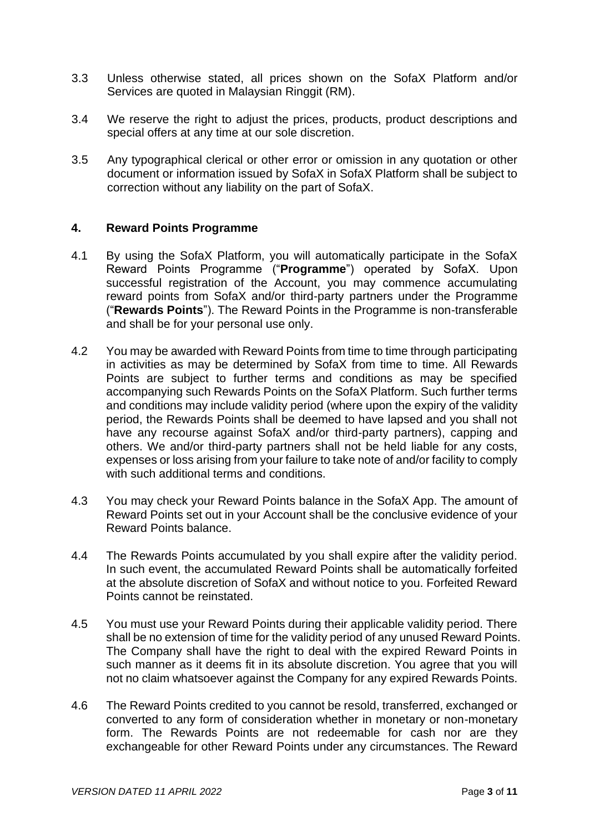- 3.3 Unless otherwise stated, all prices shown on the SofaX Platform and/or Services are quoted in Malaysian Ringgit (RM).
- 3.4 We reserve the right to adjust the prices, products, product descriptions and special offers at any time at our sole discretion.
- 3.5 Any typographical clerical or other error or omission in any quotation or other document or information issued by SofaX in SofaX Platform shall be subject to correction without any liability on the part of SofaX.

## **4. Reward Points Programme**

- 4.1 By using the SofaX Platform, you will automatically participate in the SofaX Reward Points Programme ("**Programme**") operated by SofaX. Upon successful reaistration of the Account, you may commence accumulating reward points from SofaX and/or third-party partners under the Programme ("**Rewards Points**"). The Reward Points in the Programme is non-transferable and shall be for your personal use only.
- 4.2 You may be awarded with Reward Points from time to time through participating in activities as may be determined by SofaX from time to time. All Rewards Points are subject to further terms and conditions as may be specified accompanying such Rewards Points on the SofaX Platform. Such further terms and conditions may include validity period (where upon the expiry of the validity period, the Rewards Points shall be deemed to have lapsed and you shall not have any recourse against SofaX and/or third-party partners), capping and others. We and/or third-party partners shall not be held liable for any costs, expenses or loss arising from your failure to take note of and/or facility to comply with such additional terms and conditions.
- 4.3 You may check your Reward Points balance in the SofaX App. The amount of Reward Points set out in your Account shall be the conclusive evidence of your Reward Points balance.
- 4.4 The Rewards Points accumulated by you shall expire after the validity period. In such event, the accumulated Reward Points shall be automatically forfeited at the absolute discretion of SofaX and without notice to you. Forfeited Reward Points cannot be reinstated.
- 4.5 You must use your Reward Points during their applicable validity period. There shall be no extension of time for the validity period of any unused Reward Points. The Company shall have the right to deal with the expired Reward Points in such manner as it deems fit in its absolute discretion. You agree that you will not no claim whatsoever against the Company for any expired Rewards Points.
- 4.6 The Reward Points credited to you cannot be resold, transferred, exchanged or converted to any form of consideration whether in monetary or non-monetary form. The Rewards Points are not redeemable for cash nor are they exchangeable for other Reward Points under any circumstances. The Reward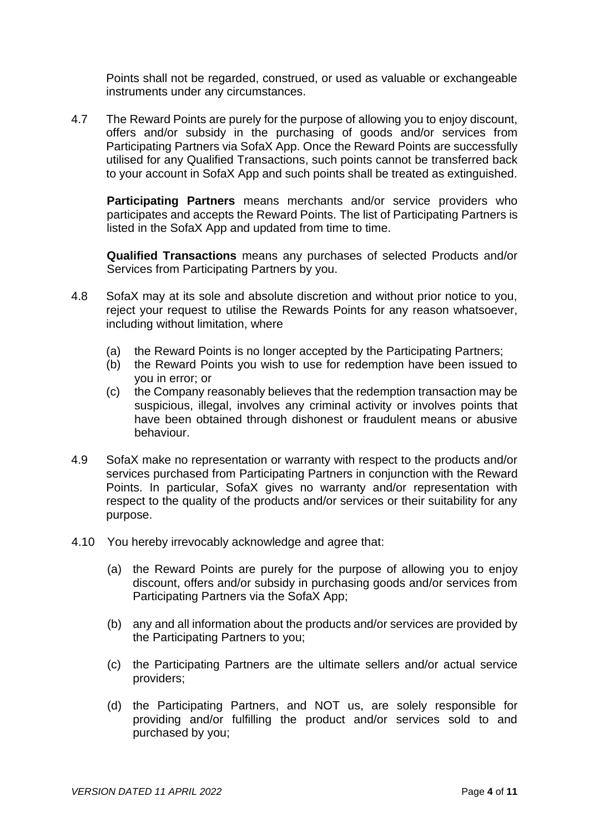Points shall not be regarded, construed, or used as valuable or exchangeable instruments under any circumstances.

4.7 The Reward Points are purely for the purpose of allowing you to enjoy discount, offers and/or subsidy in the purchasing of goods and/or services from Participating Partners via SofaX App. Once the Reward Points are successfully utilised for any Qualified Transactions, such points cannot be transferred back to your account in SofaX App and such points shall be treated as extinguished.

**Participating Partners** means merchants and/or service providers who participates and accepts the Reward Points. The list of Participating Partners is listed in the SofaX App and updated from time to time.

**Qualified Transactions** means any purchases of selected Products and/or Services from Participating Partners by you.

- 4.8 SofaX may at its sole and absolute discretion and without prior notice to you, reject your request to utilise the Rewards Points for any reason whatsoever, including without limitation, where
	- (a) the Reward Points is no longer accepted by the Participating Partners;
	- (b) the Reward Points you wish to use for redemption have been issued to you in error; or
	- (c) the Company reasonably believes that the redemption transaction may be suspicious, illegal, involves any criminal activity or involves points that have been obtained through dishonest or fraudulent means or abusive behaviour.
- 4.9 SofaX make no representation or warranty with respect to the products and/or services purchased from Participating Partners in conjunction with the Reward Points. In particular, SofaX gives no warranty and/or representation with respect to the quality of the products and/or services or their suitability for any purpose.
- 4.10 You hereby irrevocably acknowledge and agree that:
	- (a) the Reward Points are purely for the purpose of allowing you to enjoy discount, offers and/or subsidy in purchasing goods and/or services from Participating Partners via the SofaX App;
	- (b) any and all information about the products and/or services are provided by the Participating Partners to you;
	- (c) the Participating Partners are the ultimate sellers and/or actual service providers;
	- (d) the Participating Partners, and NOT us, are solely responsible for providing and/or fulfilling the product and/or services sold to and purchased by you;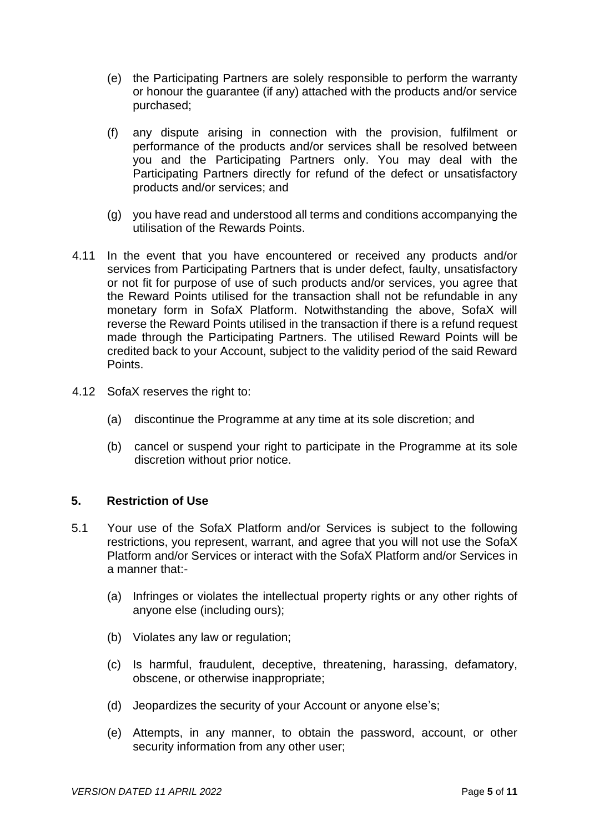- (e) the Participating Partners are solely responsible to perform the warranty or honour the guarantee (if any) attached with the products and/or service purchased;
- (f) any dispute arising in connection with the provision, fulfilment or performance of the products and/or services shall be resolved between you and the Participating Partners only. You may deal with the Participating Partners directly for refund of the defect or unsatisfactory products and/or services; and
- (g) you have read and understood all terms and conditions accompanying the utilisation of the Rewards Points.
- 4.11 In the event that you have encountered or received any products and/or services from Participating Partners that is under defect, faulty, unsatisfactory or not fit for purpose of use of such products and/or services, you agree that the Reward Points utilised for the transaction shall not be refundable in any monetary form in SofaX Platform. Notwithstanding the above, SofaX will reverse the Reward Points utilised in the transaction if there is a refund request made through the Participating Partners. The utilised Reward Points will be credited back to your Account, subject to the validity period of the said Reward Points.
- 4.12 SofaX reserves the right to:
	- (a) discontinue the Programme at any time at its sole discretion; and
	- (b) cancel or suspend your right to participate in the Programme at its sole discretion without prior notice.

## **5. Restriction of Use**

- 5.1 Your use of the SofaX Platform and/or Services is subject to the following restrictions, you represent, warrant, and agree that you will not use the SofaX Platform and/or Services or interact with the SofaX Platform and/or Services in a manner that:-
	- (a) Infringes or violates the intellectual property rights or any other rights of anyone else (including ours);
	- (b) Violates any law or regulation;
	- (c) Is harmful, fraudulent, deceptive, threatening, harassing, defamatory, obscene, or otherwise inappropriate;
	- (d) Jeopardizes the security of your Account or anyone else's;
	- (e) Attempts, in any manner, to obtain the password, account, or other security information from any other user;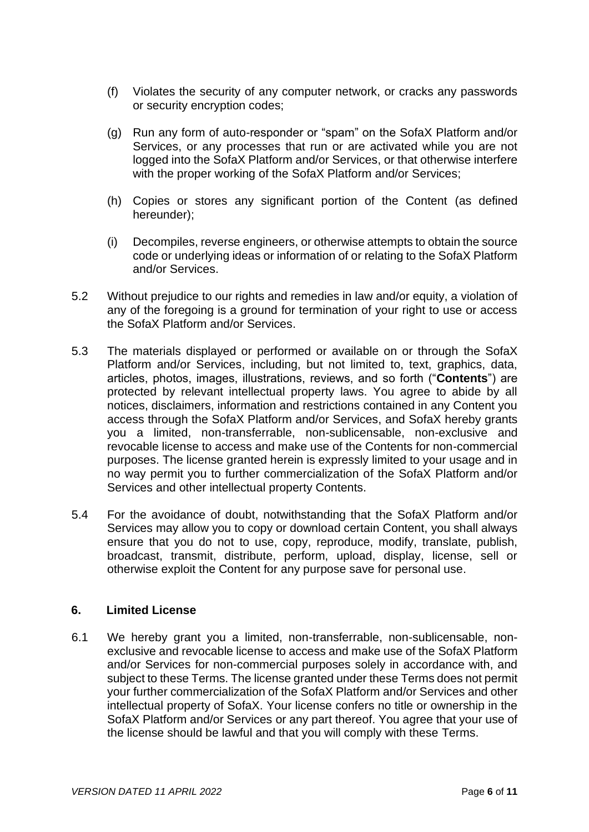- (f) Violates the security of any computer network, or cracks any passwords or security encryption codes;
- (g) Run any form of auto-responder or "spam" on the SofaX Platform and/or Services, or any processes that run or are activated while you are not logged into the SofaX Platform and/or Services, or that otherwise interfere with the proper working of the SofaX Platform and/or Services;
- (h) Copies or stores any significant portion of the Content (as defined hereunder);
- (i) Decompiles, reverse engineers, or otherwise attempts to obtain the source code or underlying ideas or information of or relating to the SofaX Platform and/or Services.
- 5.2 Without prejudice to our rights and remedies in law and/or equity, a violation of any of the foregoing is a ground for termination of your right to use or access the SofaX Platform and/or Services.
- 5.3 The materials displayed or performed or available on or through the SofaX Platform and/or Services, including, but not limited to, text, graphics, data, articles, photos, images, illustrations, reviews, and so forth ("**Contents**") are protected by relevant intellectual property laws. You agree to abide by all notices, disclaimers, information and restrictions contained in any Content you access through the SofaX Platform and/or Services, and SofaX hereby grants you a limited, non-transferrable, non-sublicensable, non-exclusive and revocable license to access and make use of the Contents for non-commercial purposes. The license granted herein is expressly limited to your usage and in no way permit you to further commercialization of the SofaX Platform and/or Services and other intellectual property Contents.
- 5.4 For the avoidance of doubt, notwithstanding that the SofaX Platform and/or Services may allow you to copy or download certain Content, you shall always ensure that you do not to use, copy, reproduce, modify, translate, publish, broadcast, transmit, distribute, perform, upload, display, license, sell or otherwise exploit the Content for any purpose save for personal use.

## **6. Limited License**

6.1 We hereby grant you a limited, non-transferrable, non-sublicensable, nonexclusive and revocable license to access and make use of the SofaX Platform and/or Services for non-commercial purposes solely in accordance with, and subject to these Terms. The license granted under these Terms does not permit your further commercialization of the SofaX Platform and/or Services and other intellectual property of SofaX. Your license confers no title or ownership in the SofaX Platform and/or Services or any part thereof. You agree that your use of the license should be lawful and that you will comply with these Terms.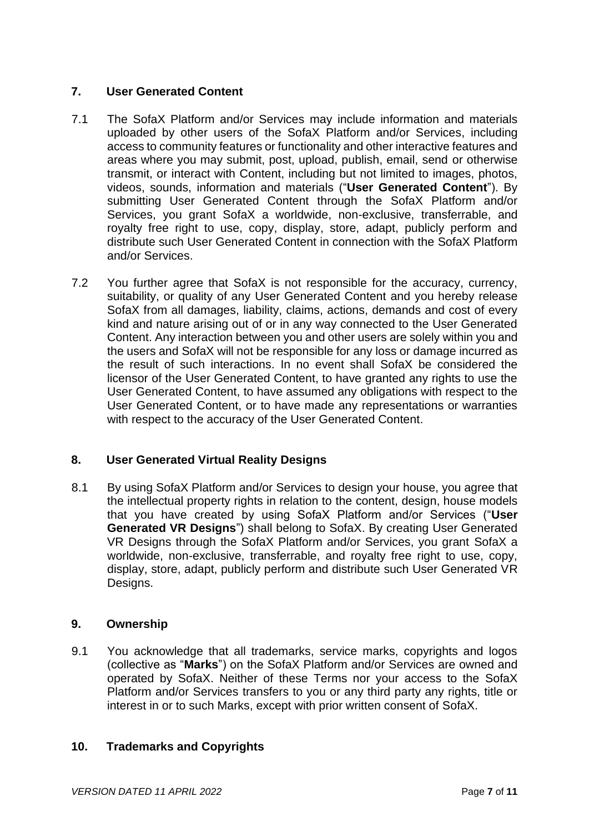## **7. User Generated Content**

- 7.1 The SofaX Platform and/or Services may include information and materials uploaded by other users of the SofaX Platform and/or Services, including access to community features or functionality and other interactive features and areas where you may submit, post, upload, publish, email, send or otherwise transmit, or interact with Content, including but not limited to images, photos, videos, sounds, information and materials ("**User Generated Content**"). By submitting User Generated Content through the SofaX Platform and/or Services, you grant SofaX a worldwide, non-exclusive, transferrable, and royalty free right to use, copy, display, store, adapt, publicly perform and distribute such User Generated Content in connection with the SofaX Platform and/or Services.
- 7.2 You further agree that SofaX is not responsible for the accuracy, currency, suitability, or quality of any User Generated Content and you hereby release SofaX from all damages, liability, claims, actions, demands and cost of every kind and nature arising out of or in any way connected to the User Generated Content. Any interaction between you and other users are solely within you and the users and SofaX will not be responsible for any loss or damage incurred as the result of such interactions. In no event shall SofaX be considered the licensor of the User Generated Content, to have granted any rights to use the User Generated Content, to have assumed any obligations with respect to the User Generated Content, or to have made any representations or warranties with respect to the accuracy of the User Generated Content.

# **8. User Generated Virtual Reality Designs**

8.1 By using SofaX Platform and/or Services to design your house, you agree that the intellectual property rights in relation to the content, design, house models that you have created by using SofaX Platform and/or Services ("**User Generated VR Designs**") shall belong to SofaX. By creating User Generated VR Designs through the SofaX Platform and/or Services, you grant SofaX a worldwide, non-exclusive, transferrable, and royalty free right to use, copy, display, store, adapt, publicly perform and distribute such User Generated VR Designs.

## **9. Ownership**

9.1 You acknowledge that all trademarks, service marks, copyrights and logos (collective as "**Marks**") on the SofaX Platform and/or Services are owned and operated by SofaX. Neither of these Terms nor your access to the SofaX Platform and/or Services transfers to you or any third party any rights, title or interest in or to such Marks, except with prior written consent of SofaX.

## **10. Trademarks and Copyrights**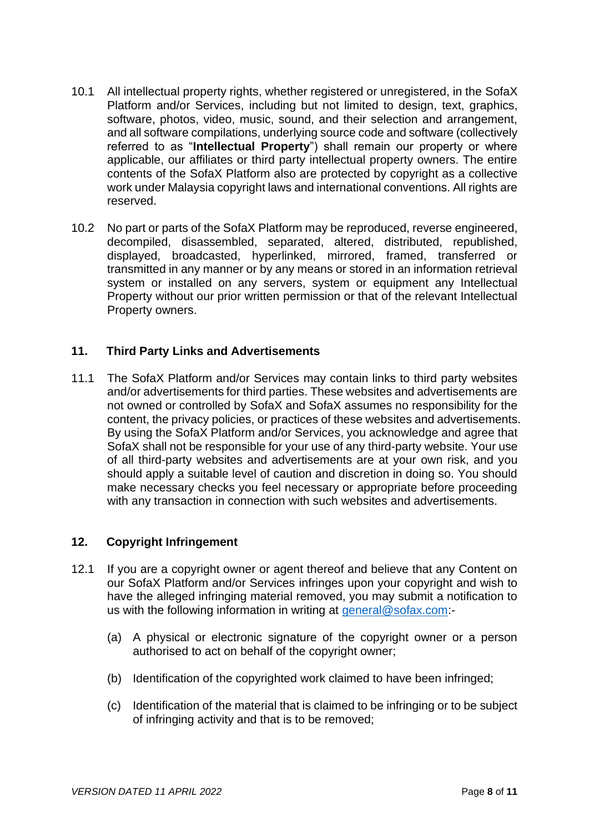- 10.1 All intellectual property rights, whether registered or unregistered, in the SofaX Platform and/or Services, including but not limited to design, text, graphics, software, photos, video, music, sound, and their selection and arrangement, and all software compilations, underlying source code and software (collectively referred to as "**Intellectual Property**") shall remain our property or where applicable, our affiliates or third party intellectual property owners. The entire contents of the SofaX Platform also are protected by copyright as a collective work under Malaysia copyright laws and international conventions. All rights are reserved.
- 10.2 No part or parts of the SofaX Platform may be reproduced, reverse engineered, decompiled, disassembled, separated, altered, distributed, republished, displayed, broadcasted, hyperlinked, mirrored, framed, transferred or transmitted in any manner or by any means or stored in an information retrieval system or installed on any servers, system or equipment any Intellectual Property without our prior written permission or that of the relevant Intellectual Property owners.

## **11. Third Party Links and Advertisements**

11.1 The SofaX Platform and/or Services may contain links to third party websites and/or advertisements for third parties. These websites and advertisements are not owned or controlled by SofaX and SofaX assumes no responsibility for the content, the privacy policies, or practices of these websites and advertisements. By using the SofaX Platform and/or Services, you acknowledge and agree that SofaX shall not be responsible for your use of any third-party website. Your use of all third-party websites and advertisements are at your own risk, and you should apply a suitable level of caution and discretion in doing so. You should make necessary checks you feel necessary or appropriate before proceeding with any transaction in connection with such websites and advertisements.

## **12. Copyright Infringement**

- 12.1 If you are a copyright owner or agent thereof and believe that any Content on our SofaX Platform and/or Services infringes upon your copyright and wish to have the alleged infringing material removed, you may submit a notification to us with the following information in writing at [general@sofax.com:](mailto:general@sofax.com)-
	- (a) A physical or electronic signature of the copyright owner or a person authorised to act on behalf of the copyright owner;
	- (b) Identification of the copyrighted work claimed to have been infringed;
	- (c) Identification of the material that is claimed to be infringing or to be subject of infringing activity and that is to be removed;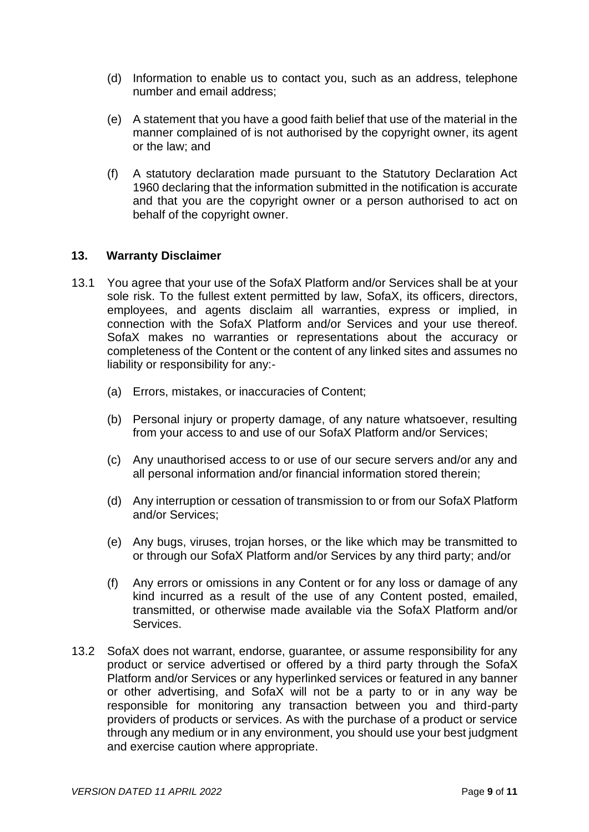- (d) Information to enable us to contact you, such as an address, telephone number and email address;
- (e) A statement that you have a good faith belief that use of the material in the manner complained of is not authorised by the copyright owner, its agent or the law; and
- (f) A statutory declaration made pursuant to the Statutory Declaration Act 1960 declaring that the information submitted in the notification is accurate and that you are the copyright owner or a person authorised to act on behalf of the copyright owner.

#### **13. Warranty Disclaimer**

- 13.1 You agree that your use of the SofaX Platform and/or Services shall be at your sole risk. To the fullest extent permitted by law, SofaX, its officers, directors, employees, and agents disclaim all warranties, express or implied, in connection with the SofaX Platform and/or Services and your use thereof. SofaX makes no warranties or representations about the accuracy or completeness of the Content or the content of any linked sites and assumes no liability or responsibility for any:-
	- (a) Errors, mistakes, or inaccuracies of Content;
	- (b) Personal injury or property damage, of any nature whatsoever, resulting from your access to and use of our SofaX Platform and/or Services;
	- (c) Any unauthorised access to or use of our secure servers and/or any and all personal information and/or financial information stored therein;
	- (d) Any interruption or cessation of transmission to or from our SofaX Platform and/or Services;
	- (e) Any bugs, viruses, trojan horses, or the like which may be transmitted to or through our SofaX Platform and/or Services by any third party; and/or
	- (f) Any errors or omissions in any Content or for any loss or damage of any kind incurred as a result of the use of any Content posted, emailed, transmitted, or otherwise made available via the SofaX Platform and/or Services.
- 13.2 SofaX does not warrant, endorse, guarantee, or assume responsibility for any product or service advertised or offered by a third party through the SofaX Platform and/or Services or any hyperlinked services or featured in any banner or other advertising, and SofaX will not be a party to or in any way be responsible for monitoring any transaction between you and third-party providers of products or services. As with the purchase of a product or service through any medium or in any environment, you should use your best judgment and exercise caution where appropriate.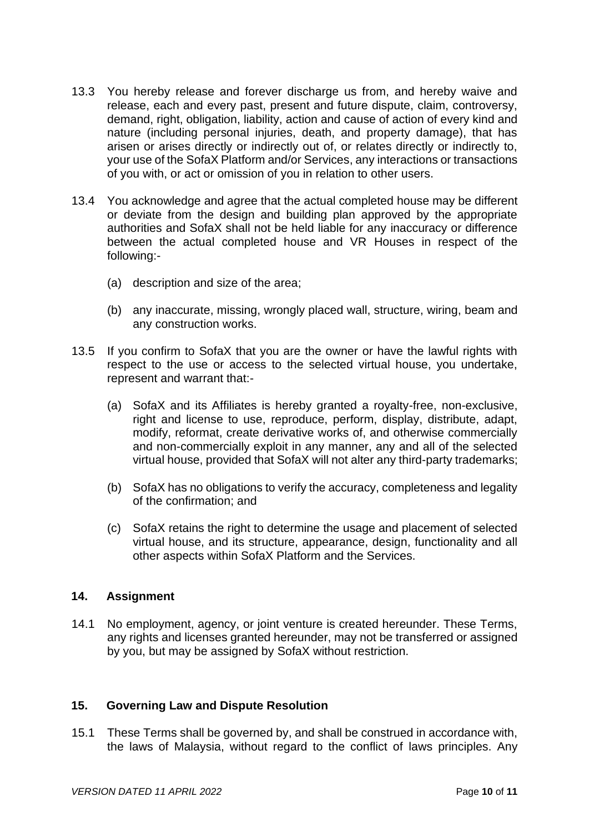- 13.3 You hereby release and forever discharge us from, and hereby waive and release, each and every past, present and future dispute, claim, controversy, demand, right, obligation, liability, action and cause of action of every kind and nature (including personal injuries, death, and property damage), that has arisen or arises directly or indirectly out of, or relates directly or indirectly to, your use of the SofaX Platform and/or Services, any interactions or transactions of you with, or act or omission of you in relation to other users.
- 13.4 You acknowledge and agree that the actual completed house may be different or deviate from the design and building plan approved by the appropriate authorities and SofaX shall not be held liable for any inaccuracy or difference between the actual completed house and VR Houses in respect of the following:-
	- (a) description and size of the area;
	- (b) any inaccurate, missing, wrongly placed wall, structure, wiring, beam and any construction works.
- 13.5 If you confirm to SofaX that you are the owner or have the lawful rights with respect to the use or access to the selected virtual house, you undertake, represent and warrant that:-
	- (a) SofaX and its Affiliates is hereby granted a royalty-free, non-exclusive, right and license to use, reproduce, perform, display, distribute, adapt, modify, reformat, create derivative works of, and otherwise commercially and non-commercially exploit in any manner, any and all of the selected virtual house, provided that SofaX will not alter any third-party trademarks;
	- (b) SofaX has no obligations to verify the accuracy, completeness and legality of the confirmation; and
	- (c) SofaX retains the right to determine the usage and placement of selected virtual house, and its structure, appearance, design, functionality and all other aspects within SofaX Platform and the Services.

## **14. Assignment**

14.1 No employment, agency, or joint venture is created hereunder. These Terms, any rights and licenses granted hereunder, may not be transferred or assigned by you, but may be assigned by SofaX without restriction.

## **15. Governing Law and Dispute Resolution**

15.1 These Terms shall be governed by, and shall be construed in accordance with, the laws of Malaysia, without regard to the conflict of laws principles. Any